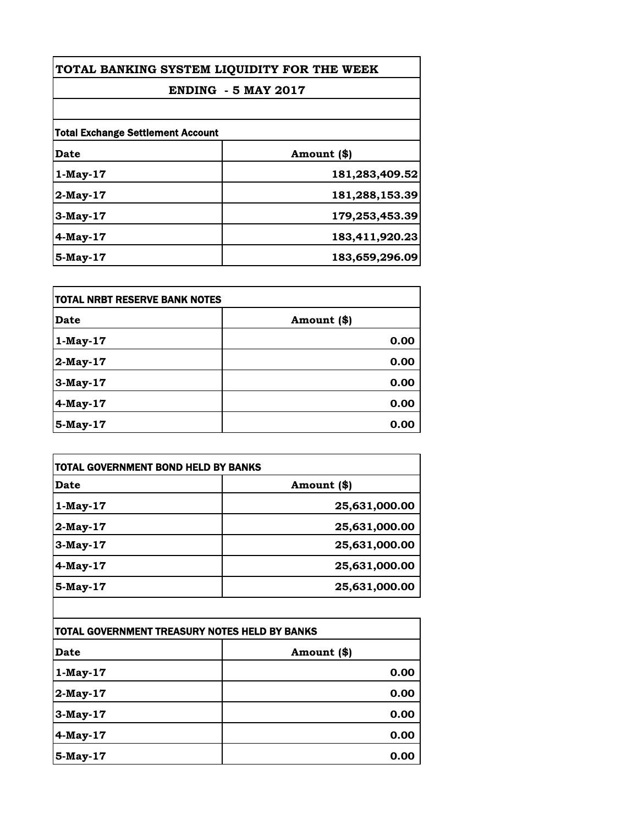| TOTAL BANKING SYSTEM LIQUIDITY FOR THE WEEK<br><b>ENDING - 5 MAY 2017</b> |                |      |                                          |  |
|---------------------------------------------------------------------------|----------------|------|------------------------------------------|--|
|                                                                           |                |      | <b>Total Exchange Settlement Account</b> |  |
|                                                                           |                | Date | Amount (\$)                              |  |
| $1-May-17$                                                                | 181,283,409.52 |      |                                          |  |
| $2$ -May-17                                                               | 181,288,153.39 |      |                                          |  |
| 3-May-17                                                                  | 179,253,453.39 |      |                                          |  |
| $4$ -May-17                                                               | 183,411,920.23 |      |                                          |  |
| $5-Mav-17$                                                                | 183,659,296.09 |      |                                          |  |

| itotal NRBT RESERVE BANK NOTES |             |
|--------------------------------|-------------|
| <b>Date</b>                    | Amount (\$) |
| $1$ -May-17                    | 0.00        |
| $2$ -May-17                    | 0.00        |
| 3-May-17                       | 0.00        |
| 4-May-17                       | 0.00        |
| 5-May-17                       | 0.00        |

| <b>TOTAL GOVERNMENT BOND HELD BY BANKS</b> |  |
|--------------------------------------------|--|
| Amount (\$)                                |  |
| 25,631,000.00                              |  |
| 25,631,000.00                              |  |
| 25,631,000.00                              |  |
| 25,631,000.00                              |  |
| 25,631,000.00                              |  |
|                                            |  |

| TOTAL GOVERNMENT TREASURY NOTES HELD BY BANKS |             |
|-----------------------------------------------|-------------|
| <b>Date</b>                                   | Amount (\$) |
| $1-May-17$                                    | 0.00        |
| $2$ -May-17                                   | 0.00        |
| 3-May-17                                      | 0.00        |
| 4-May-17                                      | 0.00        |
| 5-May-17                                      | 0.00        |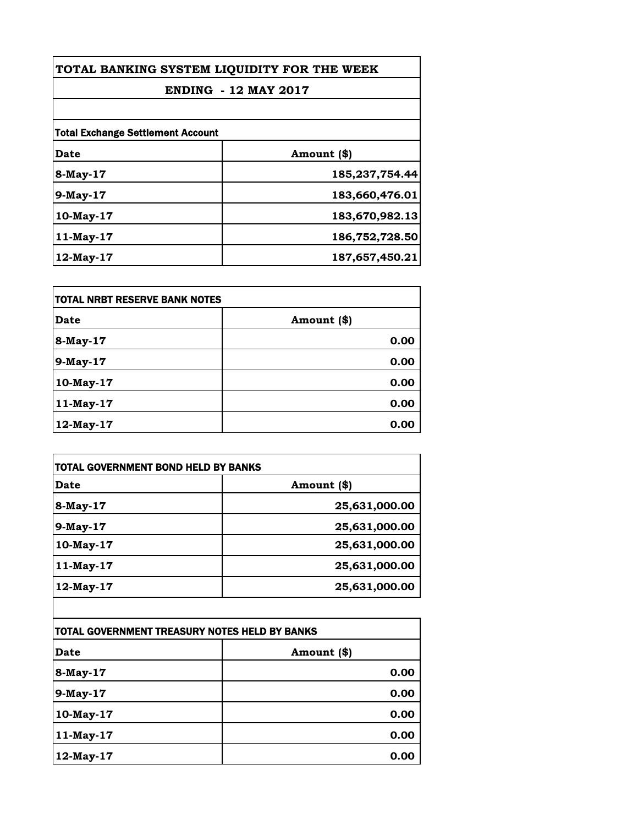| TOTAL BANKING SYSTEM LIQUIDITY FOR THE WEEK<br><b>ENDING - 12 MAY 2017</b> |                |                                          |             |
|----------------------------------------------------------------------------|----------------|------------------------------------------|-------------|
|                                                                            |                | <b>Total Exchange Settlement Account</b> |             |
|                                                                            |                | Date                                     | Amount (\$) |
| 8-May-17                                                                   | 185,237,754.44 |                                          |             |
| $9$ -May-17                                                                | 183,660,476.01 |                                          |             |
| $10$ -May- $17$                                                            | 183,670,982.13 |                                          |             |
| 11-May-17                                                                  | 186,752,728.50 |                                          |             |
| $12$ -May- $17$                                                            | 187,657,450.21 |                                          |             |

| itotal NRBT RESERVE BANK NOTES |             |
|--------------------------------|-------------|
| <b>Date</b>                    | Amount (\$) |
| 8-May-17                       | 0.00        |
| 9-May-17                       | 0.00        |
| 10-May-17                      | 0.00        |
| 11-May-17                      | 0.00        |
| 12-May-17                      | 0.00        |

| <b>TOTAL GOVERNMENT BOND HELD BY BANKS</b> |               |
|--------------------------------------------|---------------|
| Date                                       | Amount (\$)   |
| 8-May-17                                   | 25,631,000.00 |
| 9-May-17                                   | 25,631,000.00 |
| 10-May-17                                  | 25,631,000.00 |
| 11-May-17                                  | 25,631,000.00 |
| 12-May-17                                  | 25,631,000.00 |

| TOTAL GOVERNMENT TREASURY NOTES HELD BY BANKS |             |
|-----------------------------------------------|-------------|
| <b>Date</b>                                   | Amount (\$) |
| 8-May-17                                      | 0.00        |
| 9-May-17                                      | 0.00        |
| 10-May-17                                     | 0.00        |
| 11-May-17                                     | 0.00        |
| 12-May-17                                     | 0.00        |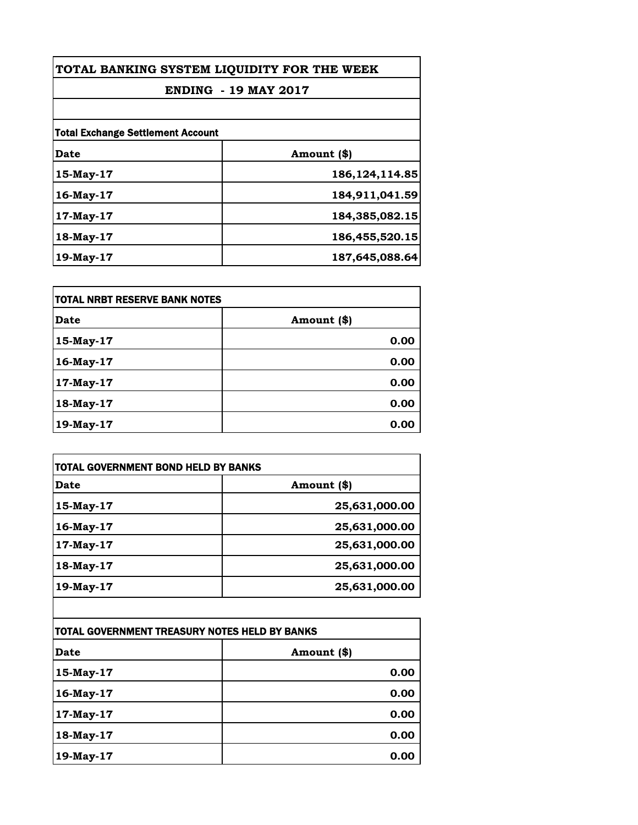| TOTAL BANKING SYSTEM LIQUIDITY FOR THE WEEK<br><b>ENDING - 19 MAY 2017</b><br><b>Total Exchange Settlement Account</b> |                |           |                  |
|------------------------------------------------------------------------------------------------------------------------|----------------|-----------|------------------|
|                                                                                                                        |                | Date      | Amount (\$)      |
|                                                                                                                        |                | 15-May-17 | 186, 124, 114.85 |
|                                                                                                                        |                | 16-May-17 | 184,911,041.59   |
| $17$ -May- $17$                                                                                                        | 184,385,082.15 |           |                  |
| 18-May-17                                                                                                              | 186,455,520.15 |           |                  |
| $19$ -May- $17$                                                                                                        | 187,645,088.64 |           |                  |

| itotal NRBT RESERVE BANK NOTES |             |
|--------------------------------|-------------|
| <b>Date</b>                    | Amount (\$) |
| 15-May-17                      | 0.00        |
| 16-May-17                      | 0.00        |
| 17-May-17                      | 0.00        |
| 18-May-17                      | 0.00        |
| 19-May-17                      | 0.00        |

| <b>TOTAL GOVERNMENT BOND HELD BY BANKS</b> |               |
|--------------------------------------------|---------------|
| Date                                       | Amount (\$)   |
| 15-May-17                                  | 25,631,000.00 |
| 16-May-17                                  | 25,631,000.00 |
| 17-May-17                                  | 25,631,000.00 |
| 18-May-17                                  | 25,631,000.00 |
| 19-May-17                                  | 25,631,000.00 |

| TOTAL GOVERNMENT TREASURY NOTES HELD BY BANKS |             |
|-----------------------------------------------|-------------|
| <b>Date</b>                                   | Amount (\$) |
| 15-May-17                                     | 0.00        |
| 16-May-17                                     | 0.00        |
| 17-May-17                                     | 0.00        |
| 18-May-17                                     | 0.00        |
| 19-May-17                                     | 0.00        |